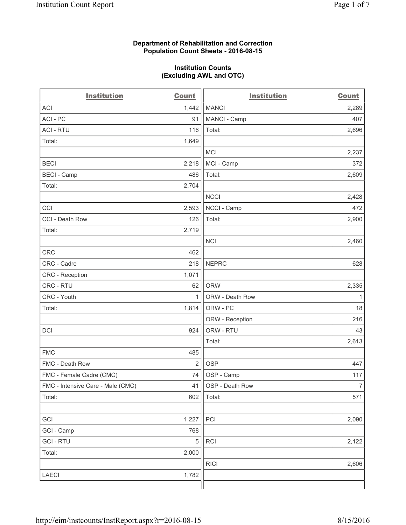#### **Department of Rehabilitation and Correction Population Count Sheets - 2016-08-15**

#### **Institution Counts (Excluding AWL and OTC)**

| <b>Institution</b>                | <b>Count</b>   | <b>Institution</b> | <b>Count</b>   |
|-----------------------------------|----------------|--------------------|----------------|
| <b>ACI</b>                        | 1,442          | <b>MANCI</b>       | 2,289          |
| ACI-PC                            | 91             | MANCI - Camp       | 407            |
| <b>ACI - RTU</b>                  | 116            | Total:             | 2,696          |
| Total:                            | 1,649          |                    |                |
|                                   |                | <b>MCI</b>         | 2,237          |
| <b>BECI</b>                       | 2,218          | MCI - Camp         | 372            |
| <b>BECI</b> - Camp                | 486            | Total:             | 2,609          |
| Total:                            | 2,704          |                    |                |
|                                   |                | <b>NCCI</b>        | 2,428          |
| CCI                               | 2,593          | NCCI - Camp        | 472            |
| CCI - Death Row                   | 126            | Total:             | 2,900          |
| Total:                            | 2,719          |                    |                |
|                                   |                | <b>NCI</b>         | 2,460          |
| <b>CRC</b>                        | 462            |                    |                |
| CRC - Cadre                       | 218            | <b>NEPRC</b>       | 628            |
| CRC - Reception                   | 1,071          |                    |                |
| CRC - RTU                         | 62             | <b>ORW</b>         | 2,335          |
| CRC - Youth                       | 1              | ORW - Death Row    | 1              |
| Total:                            | 1,814          | ORW - PC           | 18             |
|                                   |                | ORW - Reception    | 216            |
| DCI                               | 924            | ORW - RTU          | 43             |
|                                   |                | Total:             | 2,613          |
| <b>FMC</b>                        | 485            |                    |                |
| FMC - Death Row                   | $\overline{2}$ | <b>OSP</b>         | 447            |
| FMC - Female Cadre (CMC)          | 74             | OSP - Camp         | 117            |
| FMC - Intensive Care - Male (CMC) | 41             | OSP - Death Row    | $\overline{7}$ |
| Total:                            | 602            | Total:             | 571            |
|                                   |                |                    |                |
| GCI                               | 1,227          | PCI                | 2,090          |
| GCI - Camp                        | 768            |                    |                |
| <b>GCI-RTU</b>                    | 5              | RCI                | 2,122          |
| Total:                            | 2,000          |                    |                |
|                                   |                | <b>RICI</b>        | 2,606          |
| <b>LAECI</b>                      | 1,782          |                    |                |
|                                   |                |                    |                |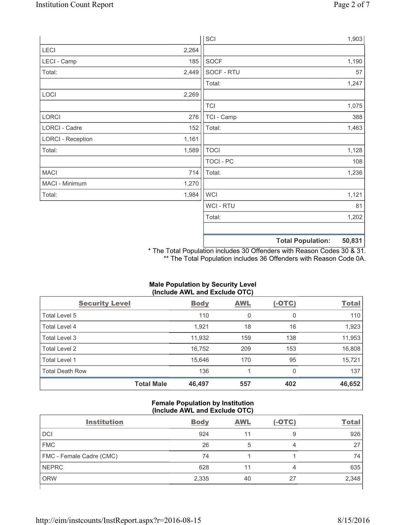|                          |       | SCI            |                          | 1,903  |
|--------------------------|-------|----------------|--------------------------|--------|
| LECI                     | 2,264 |                |                          |        |
| LECI - Camp              | 185   | SOCF           |                          | 1,190  |
| Total:                   | 2,449 | SOCF - RTU     |                          | 57     |
|                          |       | Total:         |                          | 1,247  |
| LOCI                     | 2,269 |                |                          |        |
|                          |       | <b>TCI</b>     |                          | 1,075  |
| LORCI                    | 276   | TCI - Camp     |                          | 388    |
| LORCI - Cadre            | 152   | Total:         |                          | 1,463  |
| <b>LORCI - Reception</b> | 1,161 |                |                          |        |
| Total:                   | 1,589 | <b>TOCI</b>    |                          | 1,128  |
|                          |       | TOCI - PC      |                          | 108    |
| <b>MACI</b>              | 714   | Total:         |                          | 1,236  |
| MACI - Minimum           | 1,270 |                |                          |        |
| Total:                   | 1,984 | <b>WCI</b>     |                          | 1,121  |
|                          |       | <b>WCI-RTU</b> |                          | 81     |
|                          |       | Total:         |                          | 1,202  |
|                          |       |                | <b>Total Population:</b> | 50,831 |

\* The Total Population includes 30 Offenders with Reason Codes 30 & 31. \*\* The Total Population includes 36 Offenders with Reason Code 0A.

# **(Include AWL and Exclude OTC)**  Security Level **Body** AWL (-OTC) Total Total Level 5 110 0 0 110 Total Level 4 1,923 1,923 18 16 1,923 18 16 1,923 Total Level 3 11,932 159 138 11,953 Total Level 2 16,752 209 153 16,808 Total Level 1 15,646 170 95 15,721 Total Death Row **136** 137 136 137 **Total Male 46,497 557 402 46,652**

# **Male Population by Security Level**

## **Female Population by Institution (Include AWL and Exclude OTC)**

| <b>Institution</b>       | <b>Body</b> | <b>AWL</b> | $(-OTC)$ | <b>Total</b> |
|--------------------------|-------------|------------|----------|--------------|
| <b>DCI</b>               | 924         |            | 9        | 926          |
| <b>FMC</b>               | 26          | 5          | 4        | 27           |
| FMC - Female Cadre (CMC) | 74          |            |          | 74           |
| <b>NEPRC</b>             | 628         |            | 4        | 635          |
| <b>ORW</b>               | 2,335       | 40         | 27       | 2,348        |
|                          |             |            |          |              |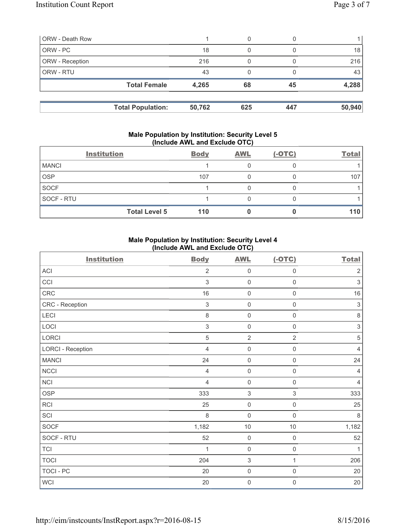| <b>ORW</b> - Death Row |                          |        | 0   |     |        |
|------------------------|--------------------------|--------|-----|-----|--------|
| ORW - PC               |                          | 18     | 0   |     | 18     |
| ORW - Reception        |                          | 216    | 0   |     | 216    |
| ORW - RTU              |                          | 43     | 0   |     | 43     |
|                        | <b>Total Female</b>      | 4,265  | 68  | 45  | 4,288  |
|                        |                          |        |     |     |        |
|                        | <b>Total Population:</b> | 50,762 | 625 | 447 | 50,940 |

#### **Male Population by Institution: Security Level 5 (Include AWL and Exclude OTC)**

|              | <b>Institution</b>   | <b>Body</b> | <b>AWL</b> | $(-OTC)$ | <b>Total</b> |
|--------------|----------------------|-------------|------------|----------|--------------|
| <b>MANCI</b> |                      |             |            |          |              |
| <b>OSP</b>   |                      | 107         |            |          | 107          |
| <b>SOCF</b>  |                      |             |            |          |              |
| SOCF - RTU   |                      |             |            |          |              |
|              | <b>Total Level 5</b> | 110         |            |          | 110          |

### **Male Population by Institution: Security Level 4 (Include AWL and Exclude OTC)**

| <b>Institution</b>       | <b>Body</b>    | <b>AWL</b>          | $(-OTC)$            | <b>Total</b>              |
|--------------------------|----------------|---------------------|---------------------|---------------------------|
| ACI                      | $\overline{2}$ | $\mathsf{O}\xspace$ | $\mathsf 0$         | $\overline{2}$            |
| CCI                      | $\mathfrak{Z}$ | $\mathsf{O}\xspace$ | $\mathsf{O}\xspace$ | $\ensuremath{\mathsf{3}}$ |
| CRC                      | 16             | $\mathsf{O}\xspace$ | $\mathbf 0$         | 16                        |
| CRC - Reception          | $\sqrt{3}$     | $\mathsf{O}\xspace$ | $\mathsf{O}\xspace$ | $\ensuremath{\mathsf{3}}$ |
| LECI                     | 8              | $\mathsf{O}\xspace$ | $\mathsf{O}\xspace$ | $\,8\,$                   |
| LOCI                     | $\mathsf 3$    | $\mathsf{O}\xspace$ | $\mathsf{O}\xspace$ | $\ensuremath{\mathsf{3}}$ |
| LORCI                    | 5              | $\overline{2}$      | $\overline{2}$      | $\sqrt{5}$                |
| <b>LORCI - Reception</b> | $\overline{4}$ | $\mathsf{O}\xspace$ | $\mathsf{O}\xspace$ | $\overline{4}$            |
| <b>MANCI</b>             | 24             | $\mathsf{O}\xspace$ | $\mathsf 0$         | 24                        |
| <b>NCCI</b>              | $\overline{4}$ | $\mathsf{O}\xspace$ | $\mathsf 0$         | $\overline{4}$            |
| <b>NCI</b>               | $\overline{4}$ | $\mathsf{O}\xspace$ | $\mathsf{O}\xspace$ | $\overline{4}$            |
| <b>OSP</b>               | 333            | $\sqrt{3}$          | 3                   | 333                       |
| RCI                      | 25             | 0                   | $\boldsymbol{0}$    | 25                        |
| SCI                      | 8              | $\mathsf{O}\xspace$ | $\mathbf 0$         | 8                         |
| SOCF                     | 1,182          | $10$                | $10$                | 1,182                     |
| SOCF - RTU               | 52             | $\mathsf{O}\xspace$ | $\mathsf{O}\xspace$ | 52                        |
| <b>TCI</b>               | $\mathbf 1$    | $\mathsf{O}\xspace$ | $\mathsf{O}\xspace$ | $\mathbf{1}$              |
| <b>TOCI</b>              | 204            | 3                   | 1                   | 206                       |
| TOCI - PC                | 20             | $\mathsf{O}\xspace$ | $\mathsf{O}\xspace$ | 20                        |
| <b>WCI</b>               | $20\,$         | 0                   | $\boldsymbol{0}$    | 20                        |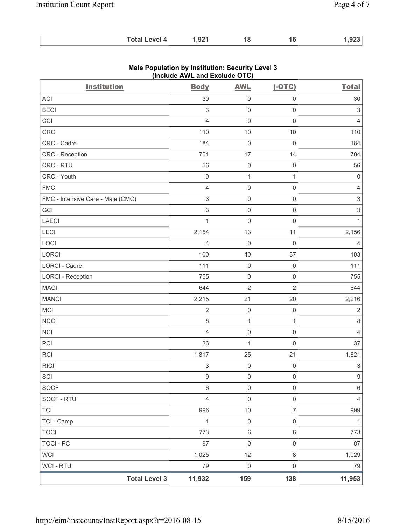| <b>Total Level 4</b> | 1,921 |  |  | nnn I |
|----------------------|-------|--|--|-------|
|----------------------|-------|--|--|-------|

| <b>Institution</b>                | <b>Body</b>               | <b>AWL</b>          | $(-OTC)$            | <b>Total</b>              |
|-----------------------------------|---------------------------|---------------------|---------------------|---------------------------|
| <b>ACI</b>                        | 30                        | $\mathsf 0$         | $\mathbf 0$         | 30                        |
| <b>BECI</b>                       | $\mathsf 3$               | $\mathsf{O}\xspace$ | $\mathsf 0$         | $\,$ 3 $\,$               |
| CCI                               | $\overline{4}$            | $\mathsf{O}\xspace$ | $\mathsf{O}\xspace$ | $\overline{4}$            |
| CRC                               | 110                       | 10                  | 10                  | 110                       |
| CRC - Cadre                       | 184                       | $\mathbf 0$         | $\mathsf{O}\xspace$ | 184                       |
| CRC - Reception                   | 701                       | 17                  | 14                  | 704                       |
| CRC - RTU                         | 56                        | $\mathsf{O}\xspace$ | $\mathsf 0$         | 56                        |
| CRC - Youth                       | $\mathsf{O}\xspace$       | $\mathbf{1}$        | $\mathbf{1}$        | $\mathbf 0$               |
| <b>FMC</b>                        | $\overline{4}$            | $\mathbf 0$         | $\mathbf 0$         | $\overline{4}$            |
| FMC - Intensive Care - Male (CMC) | $\ensuremath{\mathsf{3}}$ | $\mathsf{O}\xspace$ | $\mathsf 0$         | $\ensuremath{\mathsf{3}}$ |
| GCI                               | 3                         | $\mathsf 0$         | $\mathsf{O}\xspace$ | $\ensuremath{\mathsf{3}}$ |
| LAECI                             | $\mathbf{1}$              | $\mathbf 0$         | $\mathsf{O}\xspace$ | $\mathbf{1}$              |
| LECI                              | 2,154                     | 13                  | 11                  | 2,156                     |
| LOCI                              | 4                         | $\mathsf 0$         | $\mathbf 0$         | 4                         |
| LORCI                             | 100                       | 40                  | 37                  | 103                       |
| <b>LORCI - Cadre</b>              | 111                       | $\mathsf 0$         | $\mathsf{O}\xspace$ | 111                       |
| <b>LORCI - Reception</b>          | 755                       | $\mathsf{O}\xspace$ | $\mathsf 0$         | 755                       |
| <b>MACI</b>                       | 644                       | $\overline{2}$      | $\overline{2}$      | 644                       |
| <b>MANCI</b>                      | 2,215                     | 21                  | 20                  | 2,216                     |
| <b>MCI</b>                        | $\sqrt{2}$                | $\mathsf 0$         | $\mathsf{O}\xspace$ | $\sqrt{2}$                |
| <b>NCCI</b>                       | 8                         | $\mathbf{1}$        | $\mathbf{1}$        | 8                         |
| <b>NCI</b>                        | $\overline{4}$            | $\mathsf{O}\xspace$ | $\mathsf 0$         | $\overline{4}$            |
| PCI                               | 36                        | 1                   | $\mathsf{O}\xspace$ | 37                        |
| <b>RCI</b>                        | 1,817                     | 25                  | 21                  | 1,821                     |
| <b>RICI</b>                       | $\ensuremath{\mathsf{3}}$ | $\mathsf{O}\xspace$ | $\mathbf 0$         | $\ensuremath{\mathsf{3}}$ |
| SCI                               | 9                         | 0                   | 0                   | 9                         |
| SOCF                              | 6                         | $\mathsf 0$         | $\mathsf{O}\xspace$ | 6                         |
| SOCF - RTU                        | $\overline{4}$            | $\mathsf{O}\xspace$ | $\mathsf{O}\xspace$ | $\overline{4}$            |
| <b>TCI</b>                        | 996                       | $10$                | $\overline{7}$      | 999                       |
| TCI - Camp                        | $\mathbf{1}$              | $\mathsf 0$         | $\mathsf 0$         | $\mathbf{1}$              |
| <b>TOCI</b>                       | 773                       | $\,6\,$             | $6\,$               | 773                       |
| <b>TOCI - PC</b>                  | 87                        | $\mathsf{O}\xspace$ | $\mathsf{O}\xspace$ | 87                        |
| <b>WCI</b>                        | 1,025                     | 12                  | $\,8\,$             | 1,029                     |
| WCI - RTU                         | 79                        | $\mathbf 0$         | $\mathsf{O}\xspace$ | 79                        |
| <b>Total Level 3</b>              | 11,932                    | 159                 | 138                 | 11,953                    |

# **Male Population by Institution: Security Level 3 (Include AWL and Exclude OTC)**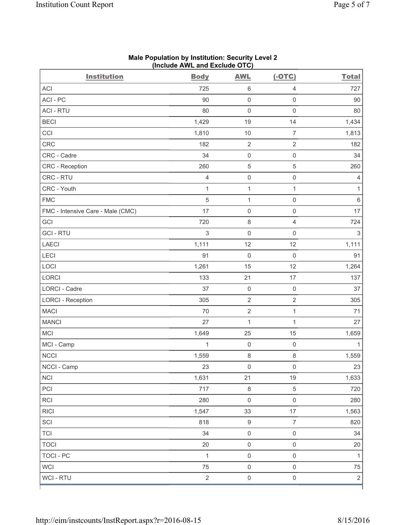| <b>Institution</b>                | <b>Body</b>  | <b>AWL</b>          | $(-OTC)$            | <b>Total</b>   |
|-----------------------------------|--------------|---------------------|---------------------|----------------|
| ACI                               | 725          | $\,6\,$             | $\overline{4}$      | 727            |
| ACI-PC                            | 90           | $\mathsf 0$         | $\mathsf{O}\xspace$ | 90             |
| <b>ACI - RTU</b>                  | 80           | $\mathsf 0$         | $\mathbf 0$         | 80             |
| <b>BECI</b>                       | 1,429        | 19                  | 14                  | 1,434          |
| CCI                               | 1,810        | 10                  | $\overline{7}$      | 1,813          |
| CRC                               | 182          | $\sqrt{2}$          | $\sqrt{2}$          | 182            |
| CRC - Cadre                       | 34           | $\mathsf{O}\xspace$ | $\mathsf{O}\xspace$ | 34             |
| CRC - Reception                   | 260          | $\mathbf 5$         | $\,$ 5 $\,$         | 260            |
| CRC - RTU                         | 4            | $\mathsf{O}\xspace$ | $\mathbf 0$         | $\overline{4}$ |
| CRC - Youth                       | $\mathbf{1}$ | $\mathbf{1}$        | $\mathbf{1}$        | $\mathbf{1}$   |
| <b>FMC</b>                        | 5            | $\mathbf 1$         | $\mathsf{O}\xspace$ | $\,6$          |
| FMC - Intensive Care - Male (CMC) | 17           | $\mathsf{O}\xspace$ | $\mathbf 0$         | 17             |
| GCI                               | 720          | $\,8\,$             | $\overline{4}$      | 724            |
| <b>GCI-RTU</b>                    | 3            | $\mathsf{O}\xspace$ | $\mathbf 0$         | $\sqrt{3}$     |
| <b>LAECI</b>                      | 1,111        | 12                  | 12                  | 1,111          |
| LECI                              | 91           | $\mathbf 0$         | $\mathbf 0$         | 91             |
| LOCI                              | 1,261        | 15                  | 12                  | 1,264          |
| <b>LORCI</b>                      | 133          | 21                  | 17                  | 137            |
| LORCI - Cadre                     | 37           | $\mathsf{O}\xspace$ | $\mathbf 0$         | 37             |
| <b>LORCI - Reception</b>          | 305          | $\sqrt{2}$          | $\sqrt{2}$          | 305            |
| <b>MACI</b>                       | 70           | $\sqrt{2}$          | $\mathbf 1$         | 71             |
| <b>MANCI</b>                      | 27           | $\mathbf{1}$        | $\mathbf{1}$        | 27             |
| MCI                               | 1,649        | 25                  | 15                  | 1,659          |
| MCI - Camp                        | $\mathbf{1}$ | $\mathsf{O}\xspace$ | $\mathbf 0$         | $\mathbf{1}$   |
| <b>NCCI</b>                       | 1,559        | $\,8\,$             | 8                   | 1,559          |
| NCCI - Camp                       | 23           | 0                   | 0                   | 23             |
| <b>NCI</b>                        | 1,631        | 21                  | 19                  | 1,633          |
| PCI                               | 717          | $\,8\,$             | $\,$ 5 $\,$         | 720            |
| RCI                               | 280          | $\mathsf{O}\xspace$ | $\mathsf 0$         | 280            |
| <b>RICI</b>                       | 1,547        | 33                  | $17\,$              | 1,563          |
| SCI                               | 818          | $\boldsymbol{9}$    | $\boldsymbol{7}$    | 820            |
| <b>TCI</b>                        | 34           | $\mathsf{O}\xspace$ | $\mathsf{O}\xspace$ | 34             |
| <b>TOCI</b>                       | 20           | $\mathsf{O}\xspace$ | $\mathsf{O}\xspace$ | 20             |
| <b>TOCI - PC</b>                  | $\mathbf{1}$ | $\mathsf{O}\xspace$ | $\mathsf{O}\xspace$ | $\mathbf{1}$   |
| <b>WCI</b>                        | 75           | $\mathsf{O}\xspace$ | $\mathsf{O}\xspace$ | $75\,$         |
| <b>WCI-RTU</b>                    | $\sqrt{2}$   | $\mathsf{O}\xspace$ | $\mathsf 0$         | $\overline{2}$ |

#### **Male Population by Institution: Security Level 2 (Include AWL and Exclude OTC)**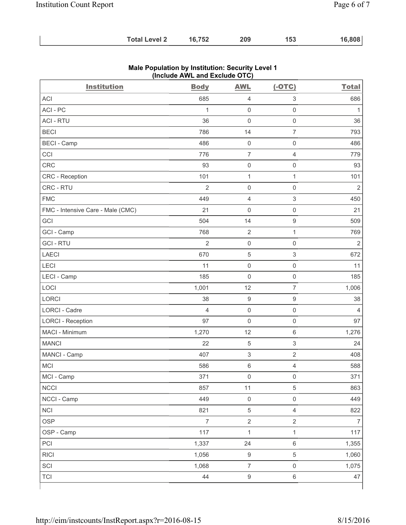| 16,808<br>16,752<br><b>Total Level 2</b><br>209<br>153 |
|--------------------------------------------------------|
|--------------------------------------------------------|

| <b>Institution</b>                | <b>Body</b>    | <b>AWL</b>                | $(-OTC)$                  | <b>Total</b>   |
|-----------------------------------|----------------|---------------------------|---------------------------|----------------|
| <b>ACI</b>                        | 685            | $\overline{4}$            | $\ensuremath{\mathsf{3}}$ | 686            |
| ACI-PC                            | $\mathbf{1}$   | $\mathsf{O}\xspace$       | $\mathsf 0$               | $\mathbf{1}$   |
| <b>ACI - RTU</b>                  | 36             | $\mathbf 0$               | $\mathsf 0$               | 36             |
| <b>BECI</b>                       | 786            | 14                        | $\overline{7}$            | 793            |
| <b>BECI</b> - Camp                | 486            | $\mathsf{O}\xspace$       | $\mathsf{O}\xspace$       | 486            |
| CCI                               | 776            | $\overline{7}$            | $\overline{4}$            | 779            |
| CRC                               | 93             | $\mathsf{O}\xspace$       | $\mathsf 0$               | 93             |
| CRC - Reception                   | 101            | 1                         | $\mathbf{1}$              | 101            |
| CRC - RTU                         | $\overline{2}$ | $\mathsf{O}\xspace$       | $\mathsf 0$               | $\overline{2}$ |
| <b>FMC</b>                        | 449            | $\overline{4}$            | $\mathsf 3$               | 450            |
| FMC - Intensive Care - Male (CMC) | 21             | $\mathsf{O}\xspace$       | $\mathsf 0$               | 21             |
| GCI                               | 504            | 14                        | $\boldsymbol{9}$          | 509            |
| GCI - Camp                        | 768            | $\sqrt{2}$                | $\mathbf{1}$              | 769            |
| <b>GCI-RTU</b>                    | $\overline{2}$ | $\mathsf 0$               | $\mathsf 0$               | $\overline{2}$ |
| <b>LAECI</b>                      | 670            | $\,$ 5 $\,$               | $\mathsf 3$               | 672            |
| LECI                              | 11             | $\mathsf{O}\xspace$       | $\mathsf 0$               | 11             |
| LECI - Camp                       | 185            | $\mathbf 0$               | $\mathsf{O}\xspace$       | 185            |
| LOCI                              | 1,001          | 12                        | $\overline{7}$            | 1,006          |
| <b>LORCI</b>                      | 38             | $\boldsymbol{9}$          | $\boldsymbol{9}$          | 38             |
| <b>LORCI - Cadre</b>              | $\overline{4}$ | $\mathsf{O}\xspace$       | $\mathsf 0$               | 4              |
| <b>LORCI - Reception</b>          | 97             | $\mathsf{O}\xspace$       | $\mathsf 0$               | 97             |
| MACI - Minimum                    | 1,270          | 12                        | $\,6\,$                   | 1,276          |
| <b>MANCI</b>                      | 22             | $\sqrt{5}$                | $\mathsf 3$               | 24             |
| MANCI - Camp                      | 407            | $\ensuremath{\mathsf{3}}$ | $\sqrt{2}$                | 408            |
| MCI                               | 586            | $\,6\,$                   | $\overline{4}$            | 588            |
| MCI - Camp                        | 371            | $\mathsf 0$               | $\mathsf{O}\xspace$       | 371            |
| <b>NCCI</b>                       | 857            | 11                        | $\sqrt{5}$                | 863            |
| NCCI - Camp                       | 449            | $\mathsf{O}\xspace$       | $\mathsf{O}\xspace$       | 449            |
| <b>NCI</b>                        | 821            | $\sqrt{5}$                | $\overline{4}$            | 822            |
| <b>OSP</b>                        | $\overline{7}$ | $\mathbf 2$               | $\sqrt{2}$                | $\overline{7}$ |
| OSP - Camp                        | 117            | $\mathbf{1}$              | $\mathbf{1}$              | 117            |
| PCI                               | 1,337          | 24                        | $\,6\,$                   | 1,355          |
| <b>RICI</b>                       | 1,056          | $\boldsymbol{9}$          | $\sqrt{5}$                | 1,060          |
| SCI                               | 1,068          | $\overline{7}$            | $\mathsf{O}\xspace$       | 1,075          |
| <b>TCI</b>                        | 44             | $\boldsymbol{9}$          | $\,6\,$                   | 47             |

## **Male Population by Institution: Security Level 1 (Include AWL and Exclude OTC)**